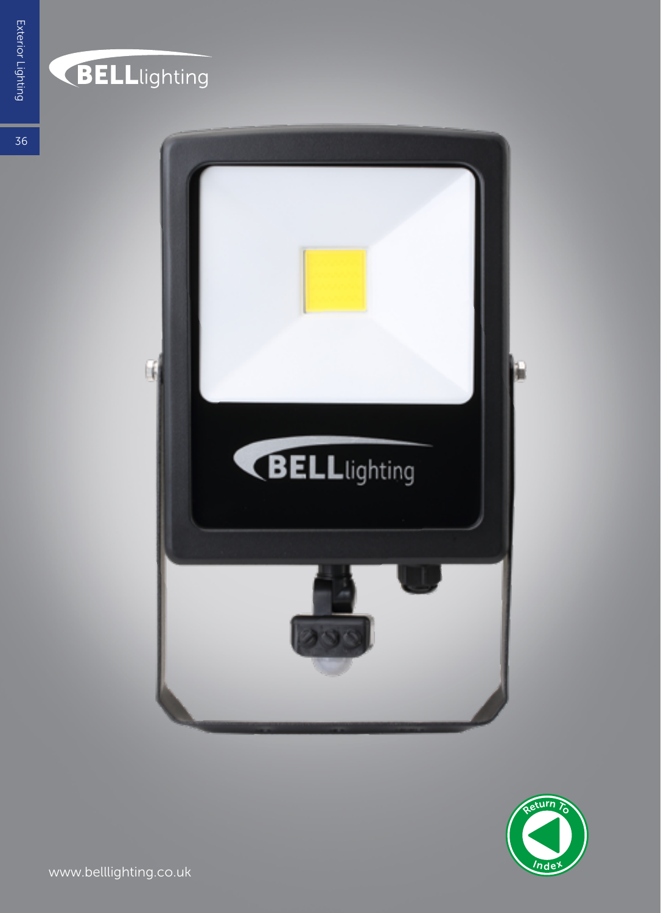### BELLlighting

36



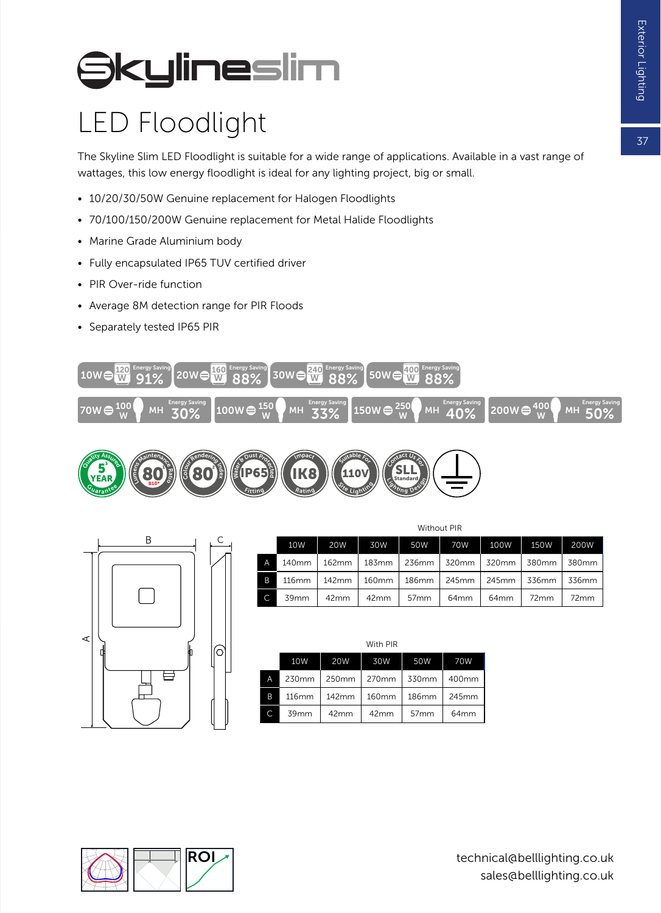## **SkylineSlim**

#### LED Floodlight

The Skyline Slim LED Floodlight is suitable for a wide range of applications. Available in a vast range of wattages, this low energy floodlight is ideal for any lighting project, big or small.

- 10/20/30/50W Genuine replacement for Halogen Floodlights
- 70/100/150/200W Genuine replacement for Metal Halide Floodlights
- Marine Grade Aluminium body
- Fully encapsulated IP65 TUV certified driver
- PIR Over-ride function
- Average 8M detection range for PIR Floods
- Separately tested IP65 PIR







|   | 10W   | 20 <sub>W</sub> | 30W   | 50W              | 70W                           | 100W             | 150W  | 200W  |
|---|-------|-----------------|-------|------------------|-------------------------------|------------------|-------|-------|
| A | 140mm | 162mm           |       |                  | 183mm   236mm   320mm   320mm |                  | 380mm | 380mm |
| B | 116mm | 142mm           | 160mm |                  | 186mm   245mm   245mm         |                  | 336mm | 336mm |
|   | 39mm  | 42mm            | 42mm  | 57 <sub>mm</sub> | 64 <sub>mm</sub>              | 64 <sub>mm</sub> | 72mm  | 72mm  |

Without PIR

|   | With PIR |            |       |       |       |  |  |
|---|----------|------------|-------|-------|-------|--|--|
|   | 10W      | <b>20W</b> | 30W   | 50W   | 70W   |  |  |
| A | 230mm    | 250mm      | 270mm | 330mm | 400mm |  |  |
| B | 116mm    | 142mm      | 160mm | 186mm | 245mm |  |  |
|   | 39mm     | 42mm       | 42mm  | 57mm  | 64mm  |  |  |